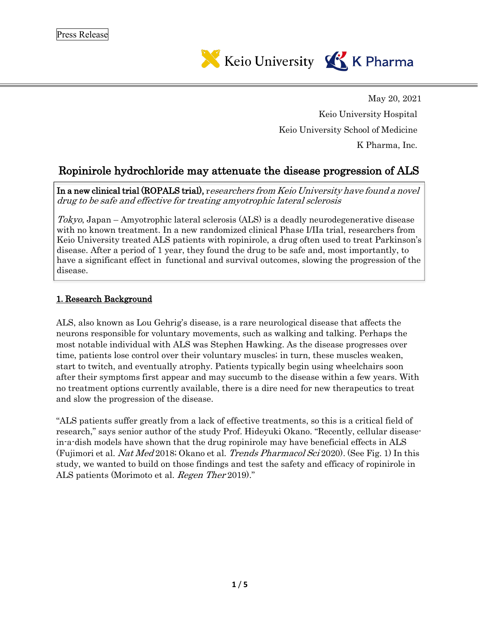

May 20, 2021 Keio University Hospital Keio University School of Medicine K Pharma, Inc.

# Ropinirole hydrochloride may attenuate the disease progression of ALS

In a new clinical trial (ROPALS trial), researchers from Keio University have found <sup>a</sup> novel drug to be safe and effective for treating amyotrophic lateral sclerosis

Tokyo, Japan – Amyotrophic lateral sclerosis  $(ALS)$  is a deadly neurodegenerative disease with no known treatment. In a new randomized clinical Phase I/IIa trial, researchers from Keio University treated ALS patients with ropinirole, a drug often used to treat Parkinson's disease. After a period of 1 year, they found the drug to be safe and, most importantly, to have a significant effect in functional and survival outcomes, slowing the progression of the disease.

### 1.Research Background

ALS, also known as Lou Gehrig's disease, is a rare neurological disease that affects the neurons responsible for voluntary movements, such as walking and talking. Perhaps the most notable individual with ALS was Stephen Hawking. As the disease progresses over time, patients lose control over their voluntary muscles; in turn, these muscles weaken, start to twitch, and eventually atrophy. Patients typically begin using wheelchairs soon after their symptoms first appear and may succumb to the disease within a few years. With no treatment options currently available, there is a dire need for new therapeutics to treat and slow the progression of the disease.

"ALS patients suffer greatly from a lack of effective treatments, so this is a critical field of research," says senior author of the study Prof. Hideyuki Okano. "Recently, cellular diseasein-a-dish models have shown that the drug ropinirole may have beneficial effects in ALS (Fujimori et al. *Nat Med* 2018; Okano et al. *Trends Pharmacol Sci* 2020). (See Fig. 1) In this study, we wanted to build on those findings and test the safety and efficacy of ropinirole in ALS patients (Morimoto et al. Regen Ther 2019)."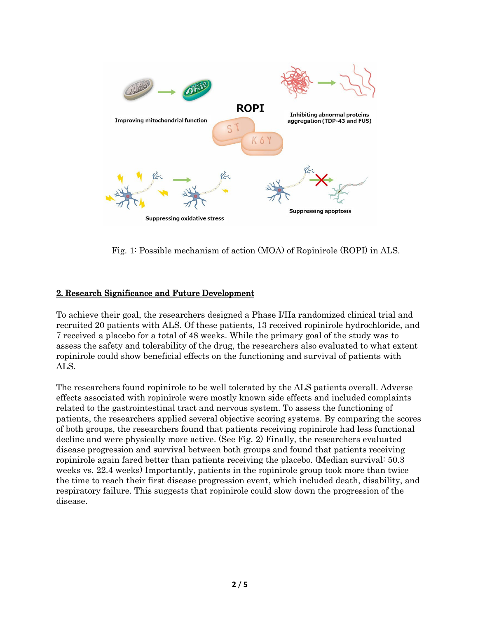

Fig. 1: Possible mechanism of action (MOA) of Ropinirole (ROPI) in ALS.

#### 2.Research Significance and Future Development

To achieve their goal, the researchers designed a Phase I/IIa randomized clinical trial and recruited 20 patients with ALS. Of these patients, 13 received ropinirole hydrochloride, and 7 received a placebo for a total of 48 weeks. While the primary goal of the study was to assess the safety and tolerability of the drug, the researchers also evaluated to what extent ropinirole could show beneficial effects on the functioning and survival of patients with ALS.

The researchers found ropinirole to be well tolerated by the ALS patients overall. Adverse effects associated with ropinirole were mostly known side effects and included complaints related to the gastrointestinal tract and nervous system. To assess the functioning of patients, the researchers applied several objective scoring systems. By comparing the scores of both groups, the researchers found that patients receiving ropinirole had less functional decline and were physically more active. (See Fig. 2) Finally, the researchers evaluated disease progression and survival between both groups and found that patients receiving ropinirole again fared better than patients receiving the placebo. (Median survival: 50.3 weeks vs. 22.4 weeks) Importantly, patients in the ropinirole group took more than twice the time to reach their first disease progression event, which included death, disability, and respiratory failure. This suggests that ropinirole could slow down the progression of the disease.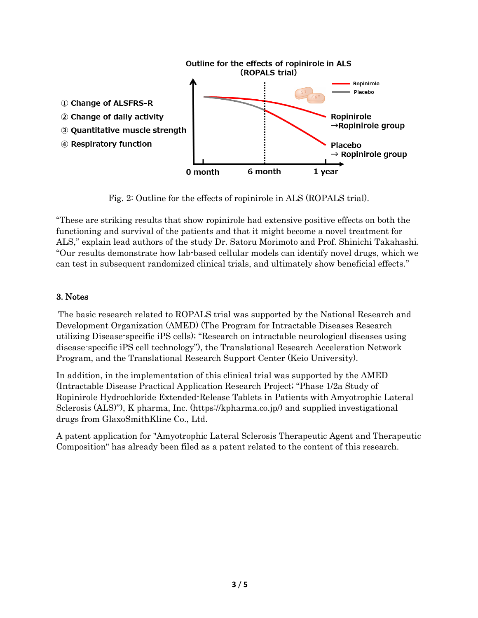

Fig. 2: Outline for the effects of ropinirole in ALS (ROPALS trial).

"These are striking results that show ropinirole had extensive positive effects on both the functioning and survival of the patients and that it might become a novel treatment for ALS," explain lead authors of the study Dr. Satoru Morimoto and Prof. Shinichi Takahashi. "Our results demonstrate how lab-based cellular models can identify novel drugs, which we can test in subsequent randomized clinical trials, and ultimately show beneficial effects."

# 3.Notes

The basic research related to ROPALS trial was supported by the National Research and Development Organization (AMED) (The Program for Intractable Diseases Research utilizing Disease-specific iPS cells); "Research on intractable neurological diseases using disease-specific iPS cell technology"), the Translational Research Acceleration Network Program, and the Translational Research Support Center (Keio University).

In addition, in the implementation of this clinical trial was supported by the AMED (Intractable Disease Practical Application Research Project; "Phase 1/2a Study of Ropinirole Hydrochloride Extended-Release Tablets in Patients with Amyotrophic Lateral Sclerosis (ALS)"), K pharma, Inc. (https://kpharma.co.jp/) and supplied investigational drugs from GlaxoSmithKline Co., Ltd.

A patent application for "Amyotrophic Lateral Sclerosis Therapeutic Agent and Therapeutic Composition" has already been filed as a patent related to the content of this research.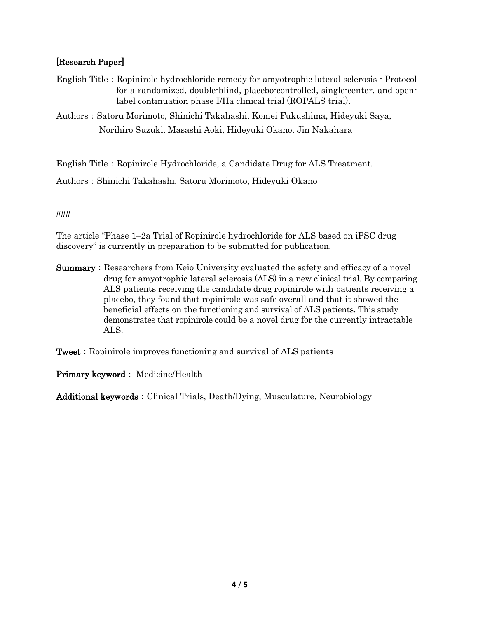## [Research Paper]

- English Title: Ropinirole hydrochloride remedy for amyotrophic lateral sclerosis Protocol for a randomized, double-blind, placebo-controlled, single-center, and openlabel continuation phase I/IIa clinical trial (ROPALS trial).
- Authors:Satoru Morimoto, Shinichi Takahashi, Komei Fukushima, Hideyuki Saya, Norihiro Suzuki, Masashi Aoki, Hideyuki Okano, Jin Nakahara

English Title: Ropinirole Hydrochloride, a Candidate Drug for ALS Treatment.

Authors:Shinichi Takahashi, Satoru Morimoto, Hideyuki Okano

### ###

The article "Phase 1–2a Trial of Ropinirole hydrochloride for ALS based on iPSC drug discovery" is currently in preparation to be submitted for publication.

**Summary:** Researchers from Keio University evaluated the safety and efficacy of a novel drug for amyotrophic lateral sclerosis (ALS) in a new clinical trial. By comparing ALS patients receiving the candidate drug ropinirole with patients receiving a placebo, they found that ropinirole was safe overall and that it showed the beneficial effects on the functioning and survival of ALS patients. This study demonstrates that ropinirole could be a novel drug for the currently intractable ALS.

**Tweet:** Ropinirole improves functioning and survival of ALS patients

### Primary keyword: Medicine/Health

Additional keywords: Clinical Trials, Death/Dying, Musculature, Neurobiology